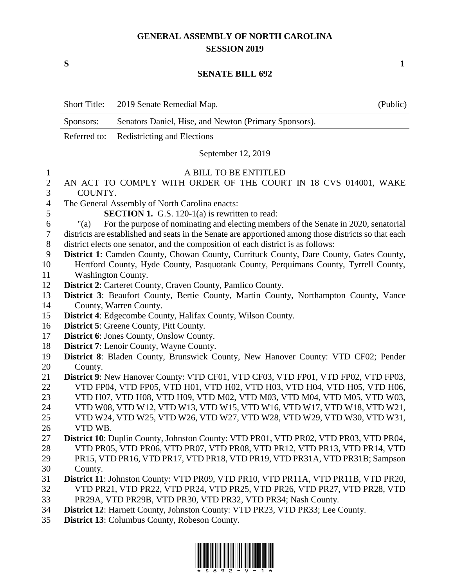## **GENERAL ASSEMBLY OF NORTH CAROLINA SESSION 2019**

**S 1**

## **SENATE BILL 692**

|                | <b>Short Title:</b>                                                                                  | 2019 Senate Remedial Map.                                                            | (Public) |
|----------------|------------------------------------------------------------------------------------------------------|--------------------------------------------------------------------------------------|----------|
|                | Sponsors:                                                                                            | Senators Daniel, Hise, and Newton (Primary Sponsors).                                |          |
|                | Referred to:                                                                                         | <b>Redistricting and Elections</b>                                                   |          |
|                |                                                                                                      | September 12, 2019                                                                   |          |
| 1              |                                                                                                      | A BILL TO BE ENTITLED                                                                |          |
| $\overline{2}$ | AN ACT TO COMPLY WITH ORDER OF THE COURT IN 18 CVS 014001, WAKE                                      |                                                                                      |          |
| 3              | COUNTY.                                                                                              |                                                                                      |          |
| $\overline{4}$ | The General Assembly of North Carolina enacts:                                                       |                                                                                      |          |
| 5              | <b>SECTION 1.</b> G.S. 120-1(a) is rewritten to read:                                                |                                                                                      |          |
| 6              | For the purpose of nominating and electing members of the Senate in 2020, senatorial<br>" $(a)$      |                                                                                      |          |
| 7              | districts are established and seats in the Senate are apportioned among those districts so that each |                                                                                      |          |
| $8\,$          | district elects one senator, and the composition of each district is as follows:                     |                                                                                      |          |
| 9              | District 1: Camden County, Chowan County, Currituck County, Dare County, Gates County,               |                                                                                      |          |
| 10             |                                                                                                      | Hertford County, Hyde County, Pasquotank County, Perquimans County, Tyrrell County,  |          |
| 11             | <b>Washington County.</b>                                                                            |                                                                                      |          |
| 12             | District 2: Carteret County, Craven County, Pamlico County.                                          |                                                                                      |          |
| 13             | <b>District 3:</b> Beaufort County, Bertie County, Martin County, Northampton County, Vance          |                                                                                      |          |
| 14             | County, Warren County.                                                                               |                                                                                      |          |
| 15             | District 4: Edgecombe County, Halifax County, Wilson County.                                         |                                                                                      |          |
| 16             | <b>District 5:</b> Greene County, Pitt County.                                                       |                                                                                      |          |
| 17             | <b>District 6:</b> Jones County, Onslow County.                                                      |                                                                                      |          |
| 18             | <b>District 7:</b> Lenoir County, Wayne County.                                                      |                                                                                      |          |
| 19             | District 8: Bladen County, Brunswick County, New Hanover County: VTD CF02; Pender                    |                                                                                      |          |
| 20             | County.                                                                                              |                                                                                      |          |
| 21             |                                                                                                      | District 9: New Hanover County: VTD CF01, VTD CF03, VTD FP01, VTD FP02, VTD FP03,    |          |
| 22             |                                                                                                      | VTD FP04, VTD FP05, VTD H01, VTD H02, VTD H03, VTD H04, VTD H05, VTD H06,            |          |
| 23             |                                                                                                      | VTD H07, VTD H08, VTD H09, VTD M02, VTD M03, VTD M04, VTD M05, VTD W03,              |          |
| 24             |                                                                                                      | VTD W08, VTD W12, VTD W13, VTD W15, VTD W16, VTD W17, VTD W18, VTD W21,              |          |
| 25             |                                                                                                      | VTD W24, VTD W25, VTD W26, VTD W27, VTD W28, VTD W29, VTD W30, VTD W31,              |          |
| 26             | VTD WB.                                                                                              |                                                                                      |          |
| 27             |                                                                                                      | District 10: Duplin County, Johnston County: VTD PR01, VTD PR02, VTD PR03, VTD PR04, |          |
| 28             |                                                                                                      | VTD PR05, VTD PR06, VTD PR07, VTD PR08, VTD PR12, VTD PR13, VTD PR14, VTD            |          |
| 29             |                                                                                                      | PR15, VTD PR16, VTD PR17, VTD PR18, VTD PR19, VTD PR31A, VTD PR31B; Sampson          |          |
| 30             | County.                                                                                              |                                                                                      |          |
| 31             |                                                                                                      | District 11: Johnston County: VTD PR09, VTD PR10, VTD PR11A, VTD PR11B, VTD PR20,    |          |
| 32             |                                                                                                      | VTD PR21, VTD PR22, VTD PR24, VTD PR25, VTD PR26, VTD PR27, VTD PR28, VTD            |          |
| 33             | PR29A, VTD PR29B, VTD PR30, VTD PR32, VTD PR34; Nash County.                                         |                                                                                      |          |
| 34             |                                                                                                      | District 12: Harnett County, Johnston County: VTD PR23, VTD PR33; Lee County.        |          |
| 35             |                                                                                                      | <b>District 13:</b> Columbus County, Robeson County.                                 |          |

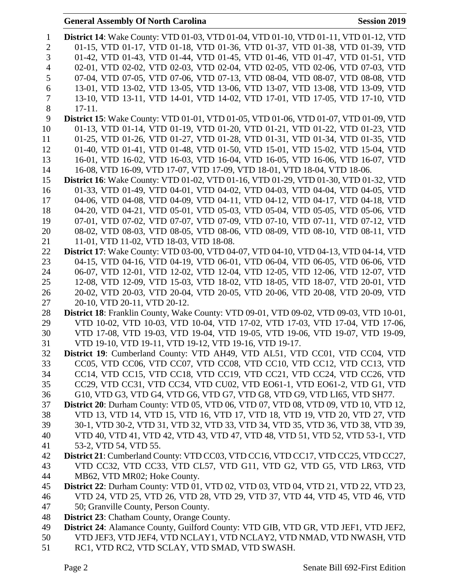## **General Assembly Of North Carolina Session 2019**

| $\mathbf{1}$   | <b>District 14:</b> Wake County: VTD 01-03, VTD 01-04, VTD 01-10, VTD 01-11, VTD 01-12, VTD                                                                  |
|----------------|--------------------------------------------------------------------------------------------------------------------------------------------------------------|
| $\mathbf{2}$   | 01-15, VTD 01-17, VTD 01-18, VTD 01-36, VTD 01-37, VTD 01-38, VTD 01-39, VTD                                                                                 |
| 3              | 01-42, VTD 01-43, VTD 01-44, VTD 01-45, VTD 01-46, VTD 01-47, VTD 01-51, VTD                                                                                 |
| $\overline{4}$ | 02-01, VTD 02-02, VTD 02-03, VTD 02-04, VTD 02-05, VTD 02-06, VTD 07-03, VTD                                                                                 |
| 5              | 07-04, VTD 07-05, VTD 07-06, VTD 07-13, VTD 08-04, VTD 08-07, VTD 08-08, VTD                                                                                 |
| 6              | 13-01, VTD 13-02, VTD 13-05, VTD 13-06, VTD 13-07, VTD 13-08, VTD 13-09, VTD                                                                                 |
| 7              | 13-10, VTD 13-11, VTD 14-01, VTD 14-02, VTD 17-01, VTD 17-05, VTD 17-10, VTD                                                                                 |
| $8\,$          | $17-11.$                                                                                                                                                     |
| 9              | <b>District 15:</b> Wake County: VTD 01-01, VTD 01-05, VTD 01-06, VTD 01-07, VTD 01-09, VTD                                                                  |
| 10             | 01-13, VTD 01-14, VTD 01-19, VTD 01-20, VTD 01-21, VTD 01-22, VTD 01-23, VTD                                                                                 |
| 11             | 01-25, VTD 01-26, VTD 01-27, VTD 01-28, VTD 01-31, VTD 01-34, VTD 01-35, VTD                                                                                 |
| 12             | 01-40, VTD 01-41, VTD 01-48, VTD 01-50, VTD 15-01, VTD 15-02, VTD 15-04, VTD                                                                                 |
| 13             | 16-01, VTD 16-02, VTD 16-03, VTD 16-04, VTD 16-05, VTD 16-06, VTD 16-07, VTD                                                                                 |
| 14             | 16-08, VTD 16-09, VTD 17-07, VTD 17-09, VTD 18-01, VTD 18-04, VTD 18-06.                                                                                     |
| 15             | <b>District 16:</b> Wake County: VTD 01-02, VTD 01-16, VTD 01-29, VTD 01-30, VTD 01-32, VTD                                                                  |
| 16             | 01-33, VTD 01-49, VTD 04-01, VTD 04-02, VTD 04-03, VTD 04-04, VTD 04-05, VTD                                                                                 |
| 17             | 04-06, VTD 04-08, VTD 04-09, VTD 04-11, VTD 04-12, VTD 04-17, VTD 04-18, VTD                                                                                 |
| 18             | 04-20, VTD 04-21, VTD 05-01, VTD 05-03, VTD 05-04, VTD 05-05, VTD 05-06, VTD                                                                                 |
| 19             | 07-01, VTD 07-02, VTD 07-07, VTD 07-09, VTD 07-10, VTD 07-11, VTD 07-12, VTD<br>08-02, VTD 08-03, VTD 08-05, VTD 08-06, VTD 08-09, VTD 08-10, VTD 08-11, VTD |
| 20<br>21       | 11-01, VTD 11-02, VTD 18-03, VTD 18-08.                                                                                                                      |
| 22             | <b>District 17:</b> Wake County: VTD 03-00, VTD 04-07, VTD 04-10, VTD 04-13, VTD 04-14, VTD                                                                  |
| 23             | 04-15, VTD 04-16, VTD 04-19, VTD 06-01, VTD 06-04, VTD 06-05, VTD 06-06, VTD                                                                                 |
| 24             | 06-07, VTD 12-01, VTD 12-02, VTD 12-04, VTD 12-05, VTD 12-06, VTD 12-07, VTD                                                                                 |
| 25             | 12-08, VTD 12-09, VTD 15-03, VTD 18-02, VTD 18-05, VTD 18-07, VTD 20-01, VTD                                                                                 |
| 26             | 20-02, VTD 20-03, VTD 20-04, VTD 20-05, VTD 20-06, VTD 20-08, VTD 20-09, VTD                                                                                 |
| 27             | 20-10, VTD 20-11, VTD 20-12.                                                                                                                                 |
| 28             | District 18: Franklin County, Wake County: VTD 09-01, VTD 09-02, VTD 09-03, VTD 10-01,                                                                       |
| 29             | VTD 10-02, VTD 10-03, VTD 10-04, VTD 17-02, VTD 17-03, VTD 17-04, VTD 17-06,                                                                                 |
| 30             | VTD 17-08, VTD 19-03, VTD 19-04, VTD 19-05, VTD 19-06, VTD 19-07, VTD 19-09,                                                                                 |
| 31             | VTD 19-10, VTD 19-11, VTD 19-12, VTD 19-16, VTD 19-17.                                                                                                       |
| 32             | District 19: Cumberland County: VTD AH49, VTD AL51, VTD CC01, VTD CC04, VTD                                                                                  |
| 33             | CC05, VTD CC06, VTD CC07, VTD CC08, VTD CC10, VTD CC12, VTD CC13, VTD                                                                                        |
| 34             | CC14, VTD CC15, VTD CC18, VTD CC19, VTD CC21, VTD CC24, VTD CC26, VTD                                                                                        |
| 35             | CC29, VTD CC31, VTD CC34, VTD CU02, VTD EO61-1, VTD EO61-2, VTD G1, VTD                                                                                      |
| 36             | G10, VTD G3, VTD G4, VTD G6, VTD G7, VTD G8, VTD G9, VTD LI65, VTD SH77.                                                                                     |
| 37             | District 20: Durham County: VTD 05, VTD 06, VTD 07, VTD 08, VTD 09, VTD 10, VTD 12,                                                                          |
| 38             | VTD 13, VTD 14, VTD 15, VTD 16, VTD 17, VTD 18, VTD 19, VTD 20, VTD 27, VTD                                                                                  |
| 39             | 30-1, VTD 30-2, VTD 31, VTD 32, VTD 33, VTD 34, VTD 35, VTD 36, VTD 38, VTD 39,                                                                              |
| 40             | VTD 40, VTD 41, VTD 42, VTD 43, VTD 47, VTD 48, VTD 51, VTD 52, VTD 53-1, VTD                                                                                |
| 41             | 53-2, VTD 54, VTD 55.                                                                                                                                        |
| 42             | District 21: Cumberland County: VTD CC03, VTD CC16, VTD CC17, VTD CC25, VTD CC27,                                                                            |
| 43             | VTD CC32, VTD CC33, VTD CL57, VTD G11, VTD G2, VTD G5, VTD LR63, VTD                                                                                         |
| 44             | MB62, VTD MR02; Hoke County.                                                                                                                                 |
| 45             | <b>District 22:</b> Durham County: VTD 01, VTD 02, VTD 03, VTD 04, VTD 21, VTD 22, VTD 23,                                                                   |
| 46             | VTD 24, VTD 25, VTD 26, VTD 28, VTD 29, VTD 37, VTD 44, VTD 45, VTD 46, VTD                                                                                  |
| 47             | 50; Granville County, Person County.                                                                                                                         |
| 48             | <b>District 23:</b> Chatham County, Orange County.                                                                                                           |
| 49             | District 24: Alamance County, Guilford County: VTD GIB, VTD GR, VTD JEF1, VTD JEF2,                                                                          |
| 50             | VTD JEF3, VTD JEF4, VTD NCLAY1, VTD NCLAY2, VTD NMAD, VTD NWASH, VTD                                                                                         |
| 51             | RC1, VTD RC2, VTD SCLAY, VTD SMAD, VTD SWASH.                                                                                                                |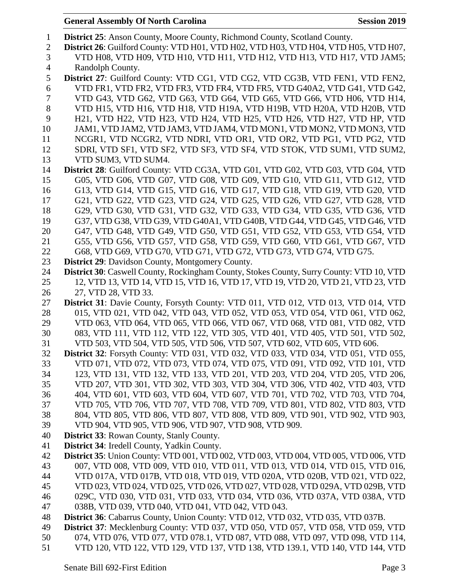**District 25**: Anson County, Moore County, Richmond County, Scotland County. **District 26**: Guilford County: VTD H01, VTD H02, VTD H03, VTD H04, VTD H05, VTD H07, VTD H08, VTD H09, VTD H10, VTD H11, VTD H12, VTD H13, VTD H17, VTD JAM5; Randolph County. **District 27**: Guilford County: VTD CG1, VTD CG2, VTD CG3B, VTD FEN1, VTD FEN2, VTD FR1, VTD FR2, VTD FR3, VTD FR4, VTD FR5, VTD G40A2, VTD G41, VTD G42, VTD G43, VTD G62, VTD G63, VTD G64, VTD G65, VTD G66, VTD H06, VTD H14, VTD H15, VTD H16, VTD H18, VTD H19A, VTD H19B, VTD H20A, VTD H20B, VTD H21, VTD H22, VTD H23, VTD H24, VTD H25, VTD H26, VTD H27, VTD HP, VTD JAM1, VTD JAM2, VTD JAM3, VTD JAM4, VTD MON1, VTD MON2, VTD MON3, VTD NCGR1, VTD NCGR2, VTD NDRI, VTD OR1, VTD OR2, VTD PG1, VTD PG2, VTD SDRI, VTD SF1, VTD SF2, VTD SF3, VTD SF4, VTD STOK, VTD SUM1, VTD SUM2, VTD SUM3, VTD SUM4. **District 28**: Guilford County: VTD CG3A, VTD G01, VTD G02, VTD G03, VTD G04, VTD G05, VTD G06, VTD G07, VTD G08, VTD G09, VTD G10, VTD G11, VTD G12, VTD G13, VTD G14, VTD G15, VTD G16, VTD G17, VTD G18, VTD G19, VTD G20, VTD G21, VTD G22, VTD G23, VTD G24, VTD G25, VTD G26, VTD G27, VTD G28, VTD G29, VTD G30, VTD G31, VTD G32, VTD G33, VTD G34, VTD G35, VTD G36, VTD G37, VTD G38, VTD G39, VTD G40A1, VTD G40B, VTD G44, VTD G45, VTD G46, VTD G47, VTD G48, VTD G49, VTD G50, VTD G51, VTD G52, VTD G53, VTD G54, VTD G55, VTD G56, VTD G57, VTD G58, VTD G59, VTD G60, VTD G61, VTD G67, VTD G68, VTD G69, VTD G70, VTD G71, VTD G72, VTD G73, VTD G74, VTD G75. **District 29**: Davidson County, Montgomery County. **District 30**: Caswell County, Rockingham County, Stokes County, Surry County: VTD 10, VTD 12, VTD 13, VTD 14, VTD 15, VTD 16, VTD 17, VTD 19, VTD 20, VTD 21, VTD 23, VTD 27, VTD 28, VTD 33. **District 31**: Davie County, Forsyth County: VTD 011, VTD 012, VTD 013, VTD 014, VTD 015, VTD 021, VTD 042, VTD 043, VTD 052, VTD 053, VTD 054, VTD 061, VTD 062, VTD 063, VTD 064, VTD 065, VTD 066, VTD 067, VTD 068, VTD 081, VTD 082, VTD 083, VTD 111, VTD 112, VTD 122, VTD 305, VTD 401, VTD 405, VTD 501, VTD 502, VTD 503, VTD 504, VTD 505, VTD 506, VTD 507, VTD 602, VTD 605, VTD 606. **District 32**: Forsyth County: VTD 031, VTD 032, VTD 033, VTD 034, VTD 051, VTD 055, VTD 071, VTD 072, VTD 073, VTD 074, VTD 075, VTD 091, VTD 092, VTD 101, VTD 123, VTD 131, VTD 132, VTD 133, VTD 201, VTD 203, VTD 204, VTD 205, VTD 206, VTD 207, VTD 301, VTD 302, VTD 303, VTD 304, VTD 306, VTD 402, VTD 403, VTD 404, VTD 601, VTD 603, VTD 604, VTD 607, VTD 701, VTD 702, VTD 703, VTD 704, VTD 705, VTD 706, VTD 707, VTD 708, VTD 709, VTD 801, VTD 802, VTD 803, VTD 804, VTD 805, VTD 806, VTD 807, VTD 808, VTD 809, VTD 901, VTD 902, VTD 903, VTD 904, VTD 905, VTD 906, VTD 907, VTD 908, VTD 909. **District 33**: Rowan County, Stanly County. **District 34**: Iredell County, Yadkin County. **District 35**: Union County: VTD 001, VTD 002, VTD 003, VTD 004, VTD 005, VTD 006, VTD 007, VTD 008, VTD 009, VTD 010, VTD 011, VTD 013, VTD 014, VTD 015, VTD 016, VTD 017A, VTD 017B, VTD 018, VTD 019, VTD 020A, VTD 020B, VTD 021, VTD 022, VTD 023, VTD 024, VTD 025, VTD 026, VTD 027, VTD 028, VTD 029A, VTD 029B, VTD 029C, VTD 030, VTD 031, VTD 033, VTD 034, VTD 036, VTD 037A, VTD 038A, VTD 038B, VTD 039, VTD 040, VTD 041, VTD 042, VTD 043. **District 36**: Cabarrus County, Union County: VTD 012, VTD 032, VTD 035, VTD 037B. **District 37**: Mecklenburg County: VTD 037, VTD 050, VTD 057, VTD 058, VTD 059, VTD 074, VTD 076, VTD 077, VTD 078.1, VTD 087, VTD 088, VTD 097, VTD 098, VTD 114, VTD 120, VTD 122, VTD 129, VTD 137, VTD 138, VTD 139.1, VTD 140, VTD 144, VTD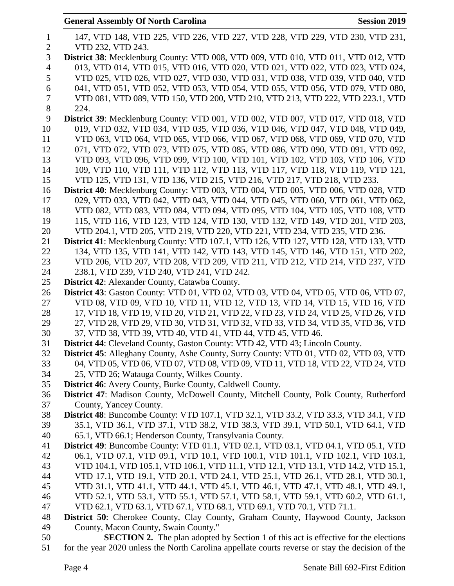|                | <b>General Assembly Of North Carolina</b><br><b>Session 2019</b>                             |
|----------------|----------------------------------------------------------------------------------------------|
| $\mathbf{1}$   | 147, VTD 148, VTD 225, VTD 226, VTD 227, VTD 228, VTD 229, VTD 230, VTD 231,                 |
| $\overline{2}$ | VTD 232, VTD 243.                                                                            |
| 3              | District 38: Mecklenburg County: VTD 008, VTD 009, VTD 010, VTD 011, VTD 012, VTD            |
| $\overline{4}$ | 013, VTD 014, VTD 015, VTD 016, VTD 020, VTD 021, VTD 022, VTD 023, VTD 024,                 |
| 5              | VTD 025, VTD 026, VTD 027, VTD 030, VTD 031, VTD 038, VTD 039, VTD 040, VTD                  |
| 6              | 041, VTD 051, VTD 052, VTD 053, VTD 054, VTD 055, VTD 056, VTD 079, VTD 080,                 |
| $\overline{7}$ | VTD 081, VTD 089, VTD 150, VTD 200, VTD 210, VTD 213, VTD 222, VTD 223.1, VTD                |
| 8              | 224.                                                                                         |
| 9              | District 39: Mecklenburg County: VTD 001, VTD 002, VTD 007, VTD 017, VTD 018, VTD            |
| 10             | 019, VTD 032, VTD 034, VTD 035, VTD 036, VTD 046, VTD 047, VTD 048, VTD 049,                 |
| 11             | VTD 063, VTD 064, VTD 065, VTD 066, VTD 067, VTD 068, VTD 069, VTD 070, VTD                  |
| 12             | 071, VTD 072, VTD 073, VTD 075, VTD 085, VTD 086, VTD 090, VTD 091, VTD 092,                 |
| 13             | VTD 093, VTD 096, VTD 099, VTD 100, VTD 101, VTD 102, VTD 103, VTD 106, VTD                  |
| 14             | 109, VTD 110, VTD 111, VTD 112, VTD 113, VTD 117, VTD 118, VTD 119, VTD 121,                 |
| 15             | VTD 125, VTD 131, VTD 136, VTD 215, VTD 216, VTD 217, VTD 218, VTD 233.                      |
| 16             | District 40: Mecklenburg County: VTD 003, VTD 004, VTD 005, VTD 006, VTD 028, VTD            |
| 17             | 029, VTD 033, VTD 042, VTD 043, VTD 044, VTD 045, VTD 060, VTD 061, VTD 062,                 |
| 18             | VTD 082, VTD 083, VTD 084, VTD 094, VTD 095, VTD 104, VTD 105, VTD 108, VTD                  |
| 19             | 115, VTD 116, VTD 123, VTD 124, VTD 130, VTD 132, VTD 149, VTD 201, VTD 203,                 |
| 20             | VTD 204.1, VTD 205, VTD 219, VTD 220, VTD 221, VTD 234, VTD 235, VTD 236.                    |
| 21             | District 41: Mecklenburg County: VTD 107.1, VTD 126, VTD 127, VTD 128, VTD 133, VTD          |
| 22             | 134, VTD 135, VTD 141, VTD 142, VTD 143, VTD 145, VTD 146, VTD 151, VTD 202,                 |
| 23             | VTD 206, VTD 207, VTD 208, VTD 209, VTD 211, VTD 212, VTD 214, VTD 237, VTD                  |
| 24             | 238.1, VTD 239, VTD 240, VTD 241, VTD 242.                                                   |
| 25             | <b>District 42:</b> Alexander County, Catawba County.                                        |
| 26             | <b>District 43</b> : Gaston County: VTD 01, VTD 02, VTD 03, VTD 04, VTD 05, VTD 06, VTD 07,  |
| 27             | VTD 08, VTD 09, VTD 10, VTD 11, VTD 12, VTD 13, VTD 14, VTD 15, VTD 16, VTD                  |
| 28             | 17, VTD 18, VTD 19, VTD 20, VTD 21, VTD 22, VTD 23, VTD 24, VTD 25, VTD 26, VTD              |
| 29             | 27, VTD 28, VTD 29, VTD 30, VTD 31, VTD 32, VTD 33, VTD 34, VTD 35, VTD 36, VTD              |
| 30             | 37, VTD 38, VTD 39, VTD 40, VTD 41, VTD 44, VTD 45, VTD 46.                                  |
| 31             | District 44: Cleveland County, Gaston County: VTD 42, VTD 43; Lincoln County.                |
| 32             | <b>District 45:</b> Alleghany County, Ashe County, Surry County: VTD 01, VTD 02, VTD 03, VTD |
| 33             | 04, VTD 05, VTD 06, VTD 07, VTD 08, VTD 09, VTD 11, VTD 18, VTD 22, VTD 24, VTD              |
| 34             | 25, VTD 26; Watauga County, Wilkes County.                                                   |
| 35             | <b>District 46:</b> Avery County, Burke County, Caldwell County.                             |
| 36             | District 47: Madison County, McDowell County, Mitchell County, Polk County, Rutherford       |
| 37             | County, Yancey County.                                                                       |
| 38             | District 48: Buncombe County: VTD 107.1, VTD 32.1, VTD 33.2, VTD 33.3, VTD 34.1, VTD         |
| 39             | 35.1, VTD 36.1, VTD 37.1, VTD 38.2, VTD 38.3, VTD 39.1, VTD 50.1, VTD 64.1, VTD              |
| 40             | 65.1, VTD 66.1; Henderson County, Transylvania County.                                       |
| 41             | <b>District 49:</b> Buncombe County: VTD 01.1, VTD 02.1, VTD 03.1, VTD 04.1, VTD 05.1, VTD   |
| 42             | 06.1, VTD 07.1, VTD 09.1, VTD 10.1, VTD 100.1, VTD 101.1, VTD 102.1, VTD 103.1,              |
| 43             | VTD 104.1, VTD 105.1, VTD 106.1, VTD 11.1, VTD 12.1, VTD 13.1, VTD 14.2, VTD 15.1,           |
| 44             | VTD 17.1, VTD 19.1, VTD 20.1, VTD 24.1, VTD 25.1, VTD 26.1, VTD 28.1, VTD 30.1,              |
| 45             | VTD 31.1, VTD 41.1, VTD 44.1, VTD 45.1, VTD 46.1, VTD 47.1, VTD 48.1, VTD 49.1,              |
| 46             | VTD 52.1, VTD 53.1, VTD 55.1, VTD 57.1, VTD 58.1, VTD 59.1, VTD 60.2, VTD 61.1,              |
| 47             | VTD 62.1, VTD 63.1, VTD 67.1, VTD 68.1, VTD 69.1, VTD 70.1, VTD 71.1.                        |
| 48             | <b>District 50:</b> Cherokee County, Clay County, Graham County, Haywood County, Jackson     |
| 49             | County, Macon County, Swain County."                                                         |
| 50             | <b>SECTION 2.</b> The plan adopted by Section 1 of this act is effective for the elections   |
| $\sim$ 1       |                                                                                              |